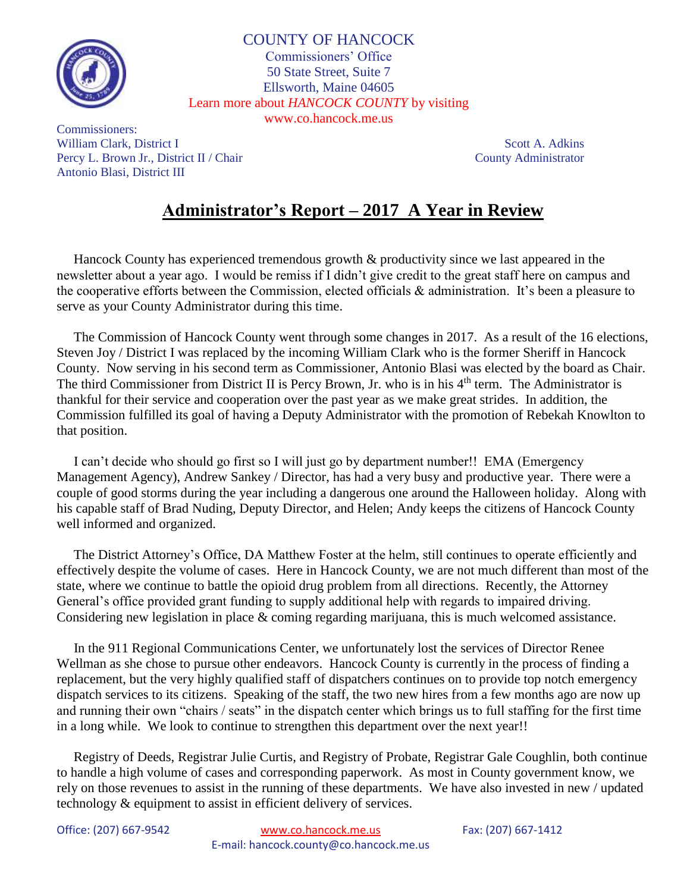

## COUNTY OF HANCOCK

Commissioners' Office 50 State Street, Suite 7 Ellsworth, Maine 04605 Learn more about *HANCOCK COUNTY* by visiting www.co.hancock.me.us

Commissioners: William Clark, District I Scott A. Adkins Percy L. Brown Jr., District II / Chair County Administrator County Administrator Antonio Blasi, District III

## **Administrator's Report – 2017 A Year in Review**

 Hancock County has experienced tremendous growth & productivity since we last appeared in the newsletter about a year ago. I would be remiss if I didn't give credit to the great staff here on campus and the cooperative efforts between the Commission, elected officials & administration. It's been a pleasure to serve as your County Administrator during this time.

 The Commission of Hancock County went through some changes in 2017. As a result of the 16 elections, Steven Joy / District I was replaced by the incoming William Clark who is the former Sheriff in Hancock County. Now serving in his second term as Commissioner, Antonio Blasi was elected by the board as Chair. The third Commissioner from District II is Percy Brown, Jr. who is in his  $4<sup>th</sup>$  term. The Administrator is thankful for their service and cooperation over the past year as we make great strides. In addition, the Commission fulfilled its goal of having a Deputy Administrator with the promotion of Rebekah Knowlton to that position.

 I can't decide who should go first so I will just go by department number!! EMA (Emergency Management Agency), Andrew Sankey / Director, has had a very busy and productive year. There were a couple of good storms during the year including a dangerous one around the Halloween holiday. Along with his capable staff of Brad Nuding, Deputy Director, and Helen; Andy keeps the citizens of Hancock County well informed and organized.

 The District Attorney's Office, DA Matthew Foster at the helm, still continues to operate efficiently and effectively despite the volume of cases. Here in Hancock County, we are not much different than most of the state, where we continue to battle the opioid drug problem from all directions. Recently, the Attorney General's office provided grant funding to supply additional help with regards to impaired driving. Considering new legislation in place & coming regarding marijuana, this is much welcomed assistance.

 In the 911 Regional Communications Center, we unfortunately lost the services of Director Renee Wellman as she chose to pursue other endeavors. Hancock County is currently in the process of finding a replacement, but the very highly qualified staff of dispatchers continues on to provide top notch emergency dispatch services to its citizens. Speaking of the staff, the two new hires from a few months ago are now up and running their own "chairs / seats" in the dispatch center which brings us to full staffing for the first time in a long while. We look to continue to strengthen this department over the next year!!

 Registry of Deeds, Registrar Julie Curtis, and Registry of Probate, Registrar Gale Coughlin, both continue to handle a high volume of cases and corresponding paperwork. As most in County government know, we rely on those revenues to assist in the running of these departments. We have also invested in new / updated technology & equipment to assist in efficient delivery of services.